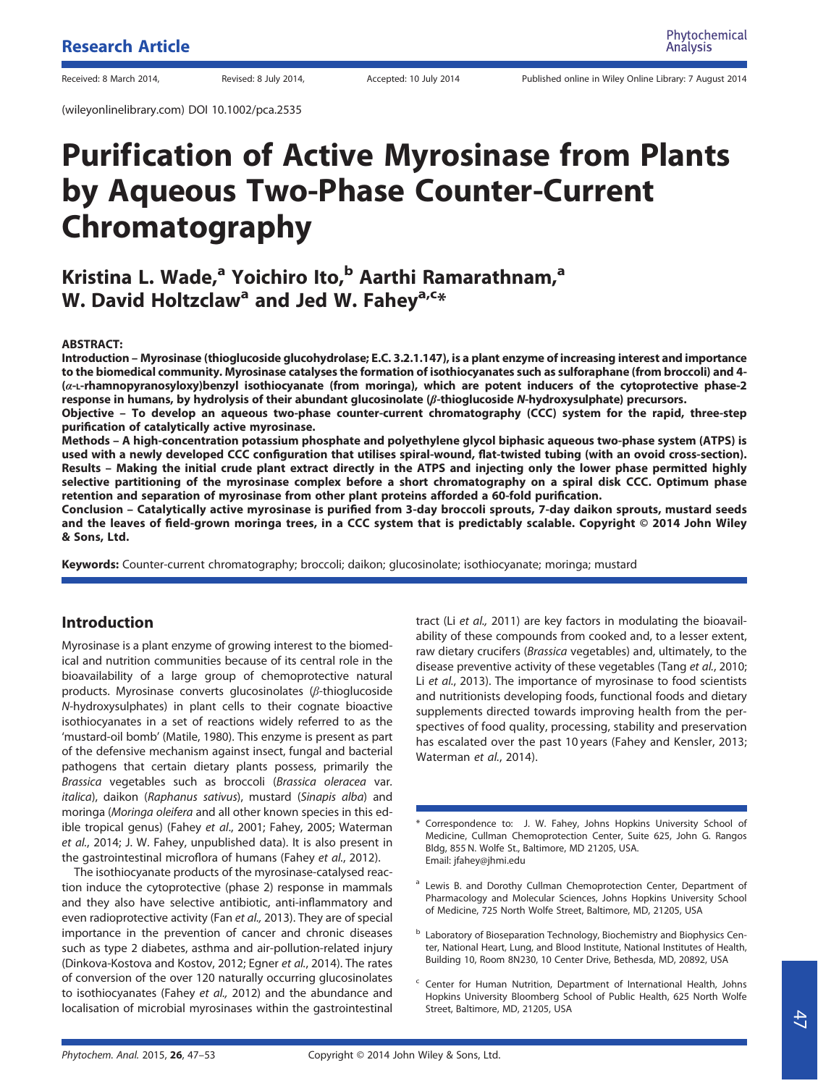(wileyonlinelibrary.com) DOI 10.1002/pca.2535

# Purification of Active Myrosinase from Plants by Aqueous Two-Phase Counter-Current Chromatography

# Kristina L. Wade,<sup>a</sup> Yoichiro Ito,<sup>b</sup> Aarthi Ramarathnam,<sup>a</sup> W. David Holtzclaw<sup>a</sup> and Jed W. Fahey<sup>a,c\*</sup>

#### ABSTRACT:

Introduction – Myrosinase (thioglucoside glucohydrolase; E.C. 3.2.1.147), is a plant enzyme of increasing interest and importance to the biomedical community. Myrosinase catalyses the formation of isothiocyanates such as sulforaphane (from broccoli) and 4- (α-L-rhamnopyranosyloxy)benzyl isothiocyanate (from moringa), which are potent inducers of the cytoprotective phase-2 response in humans, by hydrolysis of their abundant glucosinolate (β-thioglucoside N-hydroxysulphate) precursors.

Objective – To develop an aqueous two-phase counter-current chromatography (CCC) system for the rapid, three-step purification of catalytically active myrosinase.

Methods – A high-concentration potassium phosphate and polyethylene glycol biphasic aqueous two-phase system (ATPS) is used with a newly developed CCC configuration that utilises spiral-wound, flat-twisted tubing (with an ovoid cross-section). Results – Making the initial crude plant extract directly in the ATPS and injecting only the lower phase permitted highly selective partitioning of the myrosinase complex before a short chromatography on a spiral disk CCC. Optimum phase retention and separation of myrosinase from other plant proteins afforded a 60-fold purification.

Conclusion – Catalytically active myrosinase is purified from 3-day broccoli sprouts, 7-day daikon sprouts, mustard seeds and the leaves of field-grown moringa trees, in a CCC system that is predictably scalable. Copyright © 2014 John Wiley & Sons, Ltd.

Keywords: Counter-current chromatography; broccoli; daikon; glucosinolate; isothiocyanate; moringa; mustard

## Introduction

Myrosinase is a plant enzyme of growing interest to the biomedical and nutrition communities because of its central role in the bioavailability of a large group of chemoprotective natural products. Myrosinase converts glucosinolates (β-thioglucoside N-hydroxysulphates) in plant cells to their cognate bioactive isothiocyanates in a set of reactions widely referred to as the 'mustard-oil bomb' (Matile, 1980). This enzyme is present as part of the defensive mechanism against insect, fungal and bacterial pathogens that certain dietary plants possess, primarily the Brassica vegetables such as broccoli (Brassica oleracea var. italica), daikon (Raphanus sativus), mustard (Sinapis alba) and moringa (Moringa oleifera and all other known species in this edible tropical genus) (Fahey et al., 2001; Fahey, 2005; Waterman et al., 2014; J. W. Fahey, unpublished data). It is also present in the gastrointestinal microflora of humans (Fahey et al., 2012).

The isothiocyanate products of the myrosinase-catalysed reaction induce the cytoprotective (phase 2) response in mammals and they also have selective antibiotic, anti-inflammatory and even radioprotective activity (Fan et al., 2013). They are of special importance in the prevention of cancer and chronic diseases such as type 2 diabetes, asthma and air-pollution-related injury (Dinkova-Kostova and Kostov, 2012; Egner et al., 2014). The rates of conversion of the over 120 naturally occurring glucosinolates to isothiocyanates (Fahey et al., 2012) and the abundance and localisation of microbial myrosinases within the gastrointestinal

tract (Li et al., 2011) are key factors in modulating the bioavailability of these compounds from cooked and, to a lesser extent, raw dietary crucifers (Brassica vegetables) and, ultimately, to the disease preventive activity of these vegetables (Tang et al., 2010; Li et al., 2013). The importance of myrosinase to food scientists and nutritionists developing foods, functional foods and dietary supplements directed towards improving health from the perspectives of food quality, processing, stability and preservation has escalated over the past 10 years (Fahey and Kensler, 2013; Waterman et al., 2014).

- Correspondence to: J. W. Fahey, Johns Hopkins University School of Medicine, Cullman Chemoprotection Center, Suite 625, John G. Rangos Bldg, 855 N. Wolfe St., Baltimore, MD 21205, USA. Email: jfahey@jhmi.edu
- <sup>a</sup> Lewis B. and Dorothy Cullman Chemoprotection Center, Department of Pharmacology and Molecular Sciences, Johns Hopkins University School of Medicine, 725 North Wolfe Street, Baltimore, MD, 21205, USA
- $<sup>b</sup>$  Laboratory of Bioseparation Technology, Biochemistry and Biophysics Cen-</sup> ter, National Heart, Lung, and Blood Institute, National Institutes of Health, Building 10, Room 8N230, 10 Center Drive, Bethesda, MD, 20892, USA
- Center for Human Nutrition, Department of International Health, Johns Hopkins University Bloomberg School of Public Health, 625 North Wolfe Street, Baltimore, MD, 21205, USA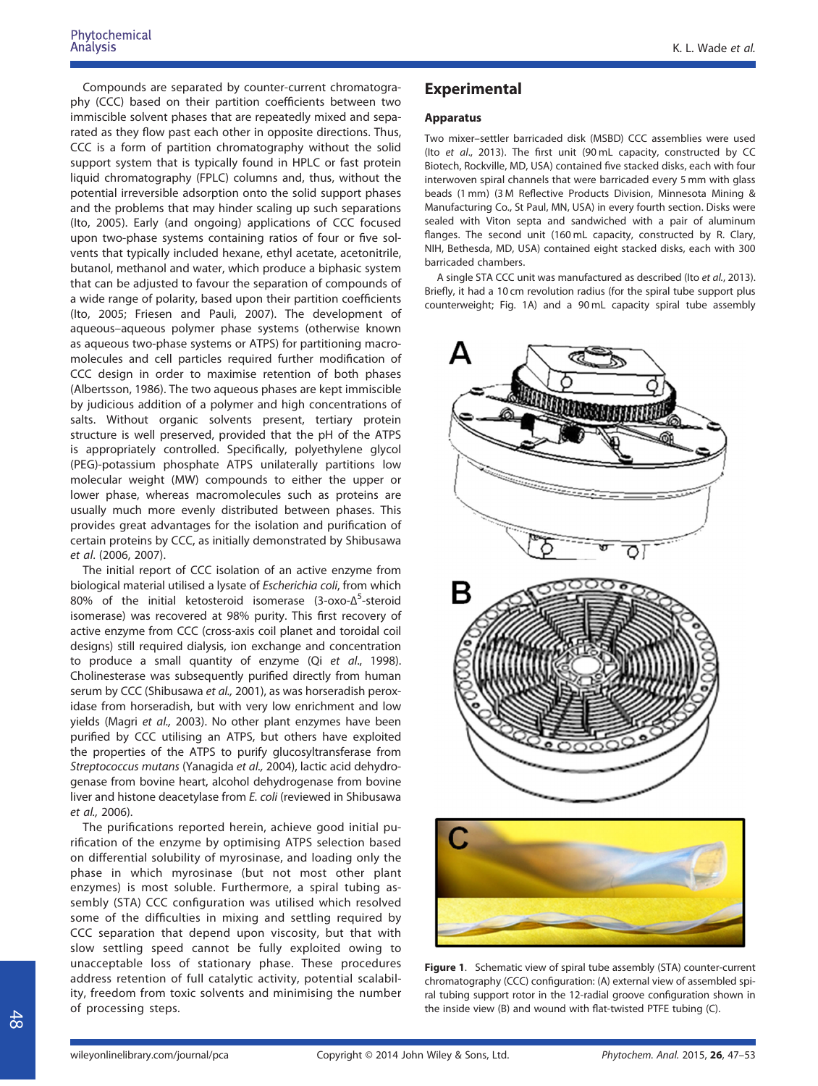Compounds are separated by counter-current chromatography (CCC) based on their partition coefficients between two immiscible solvent phases that are repeatedly mixed and separated as they flow past each other in opposite directions. Thus, CCC is a form of partition chromatography without the solid support system that is typically found in HPLC or fast protein liquid chromatography (FPLC) columns and, thus, without the potential irreversible adsorption onto the solid support phases and the problems that may hinder scaling up such separations (Ito, 2005). Early (and ongoing) applications of CCC focused upon two-phase systems containing ratios of four or five solvents that typically included hexane, ethyl acetate, acetonitrile, butanol, methanol and water, which produce a biphasic system that can be adjusted to favour the separation of compounds of a wide range of polarity, based upon their partition coefficients (Ito, 2005; Friesen and Pauli, 2007). The development of aqueous–aqueous polymer phase systems (otherwise known as aqueous two-phase systems or ATPS) for partitioning macromolecules and cell particles required further modification of CCC design in order to maximise retention of both phases (Albertsson, 1986). The two aqueous phases are kept immiscible by judicious addition of a polymer and high concentrations of salts. Without organic solvents present, tertiary protein structure is well preserved, provided that the pH of the ATPS is appropriately controlled. Specifically, polyethylene glycol (PEG)-potassium phosphate ATPS unilaterally partitions low molecular weight (MW) compounds to either the upper or lower phase, whereas macromolecules such as proteins are usually much more evenly distributed between phases. This provides great advantages for the isolation and purification of certain proteins by CCC, as initially demonstrated by Shibusawa et al. (2006, 2007).

The initial report of CCC isolation of an active enzyme from biological material utilised a lysate of Escherichia coli, from which 80% of the initial ketosteroid isomerase (3-oxo-Δ<sup>5</sup>-steroid isomerase) was recovered at 98% purity. This first recovery of active enzyme from CCC (cross-axis coil planet and toroidal coil designs) still required dialysis, ion exchange and concentration to produce a small quantity of enzyme (Qi et al., 1998). Cholinesterase was subsequently purified directly from human serum by CCC (Shibusawa et al., 2001), as was horseradish peroxidase from horseradish, but with very low enrichment and low yields (Magri et al., 2003). No other plant enzymes have been purified by CCC utilising an ATPS, but others have exploited the properties of the ATPS to purify glucosyltransferase from Streptococcus mutans (Yanagida et al., 2004), lactic acid dehydrogenase from bovine heart, alcohol dehydrogenase from bovine liver and histone deacetylase from E. coli (reviewed in Shibusawa et al., 2006).

The purifications reported herein, achieve good initial purification of the enzyme by optimising ATPS selection based on differential solubility of myrosinase, and loading only the phase in which myrosinase (but not most other plant enzymes) is most soluble. Furthermore, a spiral tubing assembly (STA) CCC configuration was utilised which resolved some of the difficulties in mixing and settling required by CCC separation that depend upon viscosity, but that with slow settling speed cannot be fully exploited owing to unacceptable loss of stationary phase. These procedures address retention of full catalytic activity, potential scalability, freedom from toxic solvents and minimising the number of processing steps.

# Experimental

#### Apparatus

Two mixer–settler barricaded disk (MSBD) CCC assemblies were used (Ito et al., 2013). The first unit (90 mL capacity, constructed by CC Biotech, Rockville, MD, USA) contained five stacked disks, each with four interwoven spiral channels that were barricaded every 5 mm with glass beads (1 mm) (3 M Reflective Products Division, Minnesota Mining & Manufacturing Co., St Paul, MN, USA) in every fourth section. Disks were sealed with Viton septa and sandwiched with a pair of aluminum flanges. The second unit (160 mL capacity, constructed by R. Clary, NIH, Bethesda, MD, USA) contained eight stacked disks, each with 300 barricaded chambers.

A single STA CCC unit was manufactured as described (Ito et al., 2013). Briefly, it had a 10 cm revolution radius (for the spiral tube support plus counterweight; Fig. 1A) and a 90 mL capacity spiral tube assembly



Figure 1. Schematic view of spiral tube assembly (STA) counter-current chromatography (CCC) configuration: (A) external view of assembled spiral tubing support rotor in the 12-radial groove configuration shown in the inside view (B) and wound with flat-twisted PTFE tubing (C).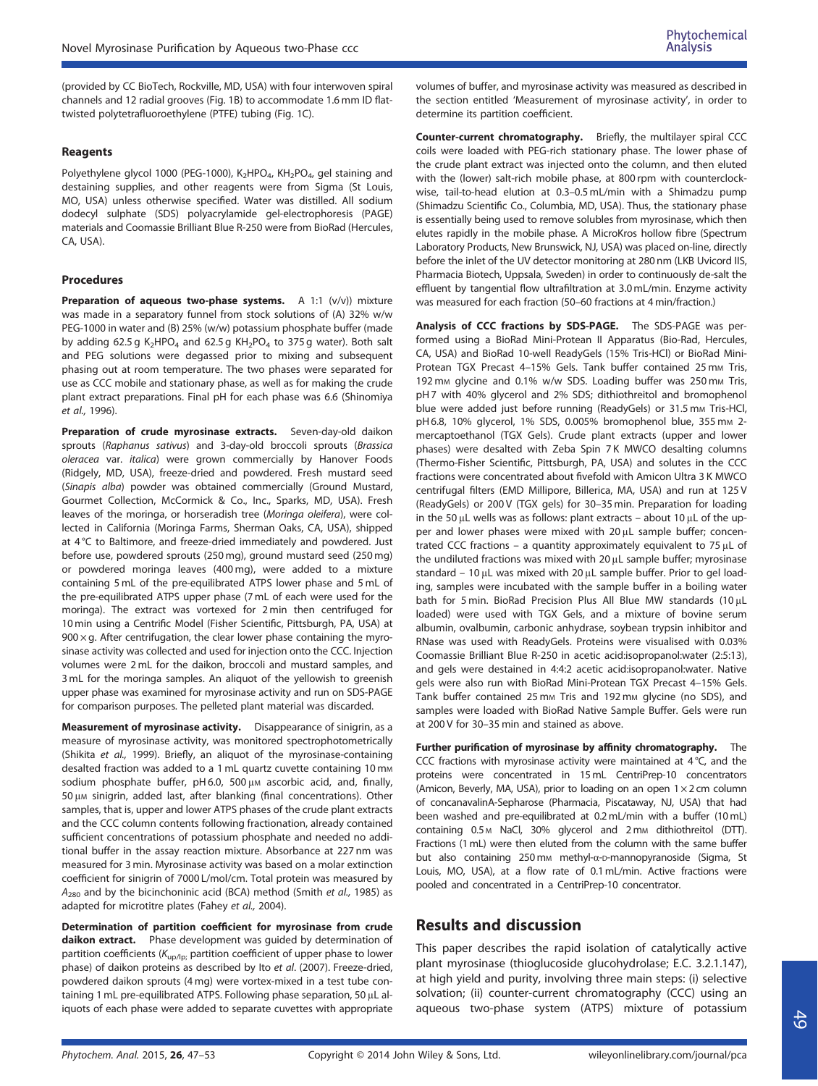(provided by CC BioTech, Rockville, MD, USA) with four interwoven spiral channels and 12 radial grooves (Fig. 1B) to accommodate 1.6 mm ID flattwisted polytetrafluoroethylene (PTFE) tubing (Fig. 1C).

#### Reagents

Polyethylene glycol 1000 (PEG-1000), K<sub>2</sub>HPO<sub>4</sub>, KH<sub>2</sub>PO<sub>4</sub>, gel staining and destaining supplies, and other reagents were from Sigma (St Louis, MO, USA) unless otherwise specified. Water was distilled. All sodium dodecyl sulphate (SDS) polyacrylamide gel-electrophoresis (PAGE) materials and Coomassie Brilliant Blue R-250 were from BioRad (Hercules, CA, USA).

#### **Procedures**

Preparation of aqueous two-phase systems. A 1:1 (v/v)) mixture was made in a separatory funnel from stock solutions of (A) 32% w/w PEG-1000 in water and (B) 25% (w/w) potassium phosphate buffer (made by adding 62.5 g  $K_2HPO_4$  and 62.5 g  $KH_2PO_4$  to 375 g water). Both salt and PEG solutions were degassed prior to mixing and subsequent phasing out at room temperature. The two phases were separated for use as CCC mobile and stationary phase, as well as for making the crude plant extract preparations. Final pH for each phase was 6.6 (Shinomiya et al., 1996).

Preparation of crude myrosinase extracts. Seven-day-old daikon sprouts (Raphanus sativus) and 3-day-old broccoli sprouts (Brassica oleracea var. italica) were grown commercially by Hanover Foods (Ridgely, MD, USA), freeze-dried and powdered. Fresh mustard seed (Sinapis alba) powder was obtained commercially (Ground Mustard, Gourmet Collection, McCormick & Co., Inc., Sparks, MD, USA). Fresh leaves of the moringa, or horseradish tree (Moringa oleifera), were collected in California (Moringa Farms, Sherman Oaks, CA, USA), shipped at 4 °C to Baltimore, and freeze-dried immediately and powdered. Just before use, powdered sprouts (250 mg), ground mustard seed (250 mg) or powdered moringa leaves (400 mg), were added to a mixture containing 5 mL of the pre-equilibrated ATPS lower phase and 5 mL of the pre-equilibrated ATPS upper phase (7 mL of each were used for the moringa). The extract was vortexed for 2 min then centrifuged for 10 min using a Centrific Model (Fisher Scientific, Pittsburgh, PA, USA) at  $900 \times g$ . After centrifugation, the clear lower phase containing the myrosinase activity was collected and used for injection onto the CCC. Injection volumes were 2 mL for the daikon, broccoli and mustard samples, and 3 mL for the moringa samples. An aliquot of the yellowish to greenish upper phase was examined for myrosinase activity and run on SDS-PAGE for comparison purposes. The pelleted plant material was discarded.

Measurement of myrosinase activity. Disappearance of sinigrin, as a measure of myrosinase activity, was monitored spectrophotometrically (Shikita et al., 1999). Briefly, an aliquot of the myrosinase-containing desalted fraction was added to a 1 mL quartz cuvette containing 10 mm sodium phosphate buffer, pH 6.0, 500 μM ascorbic acid, and, finally, 50 μ<sup>M</sup> sinigrin, added last, after blanking (final concentrations). Other samples, that is, upper and lower ATPS phases of the crude plant extracts and the CCC column contents following fractionation, already contained sufficient concentrations of potassium phosphate and needed no additional buffer in the assay reaction mixture. Absorbance at 227 nm was measured for 3 min. Myrosinase activity was based on a molar extinction coefficient for sinigrin of 7000 L/mol/cm. Total protein was measured by  $A_{280}$  and by the bicinchoninic acid (BCA) method (Smith et al., 1985) as adapted for microtitre plates (Fahey et al., 2004).

Determination of partition coefficient for myrosinase from crude daikon extract. Phase development was guided by determination of partition coefficients ( $K_{\text{up/lp}}$ ; partition coefficient of upper phase to lower phase) of daikon proteins as described by Ito et al. (2007). Freeze-dried, powdered daikon sprouts (4 mg) were vortex-mixed in a test tube containing 1 mL pre-equilibrated ATPS. Following phase separation, 50 μL aliquots of each phase were added to separate cuvettes with appropriate

volumes of buffer, and myrosinase activity was measured as described in the section entitled 'Measurement of myrosinase activity', in order to determine its partition coefficient.

Counter-current chromatography. Briefly, the multilayer spiral CCC coils were loaded with PEG-rich stationary phase. The lower phase of the crude plant extract was injected onto the column, and then eluted with the (lower) salt-rich mobile phase, at 800 rpm with counterclockwise, tail-to-head elution at 0.3–0.5 mL/min with a Shimadzu pump (Shimadzu Scientific Co., Columbia, MD, USA). Thus, the stationary phase is essentially being used to remove solubles from myrosinase, which then elutes rapidly in the mobile phase. A MicroKros hollow fibre (Spectrum Laboratory Products, New Brunswick, NJ, USA) was placed on-line, directly before the inlet of the UV detector monitoring at 280 nm (LKB Uvicord IIS, Pharmacia Biotech, Uppsala, Sweden) in order to continuously de-salt the effluent by tangential flow ultrafiltration at 3.0 mL/min. Enzyme activity was measured for each fraction (50–60 fractions at 4 min/fraction.)

Analysis of CCC fractions by SDS-PAGE. The SDS-PAGE was performed using a BioRad Mini-Protean II Apparatus (Bio-Rad, Hercules, CA, USA) and BioRad 10-well ReadyGels (15% Tris-HCl) or BioRad Mini-Protean TGX Precast 4-15% Gels. Tank buffer contained 25 mm Tris, 192 mm glycine and 0.1% w/w SDS. Loading buffer was 250 mm Tris, pH 7 with 40% glycerol and 2% SDS; dithiothreitol and bromophenol blue were added just before running (ReadyGels) or 31.5 mm Tris-HCl, pH 6.8, 10% glycerol, 1% SDS, 0.005% bromophenol blue, 355 mm 2mercaptoethanol (TGX Gels). Crude plant extracts (upper and lower phases) were desalted with Zeba Spin 7 K MWCO desalting columns (Thermo-Fisher Scientific, Pittsburgh, PA, USA) and solutes in the CCC fractions were concentrated about fivefold with Amicon Ultra 3 K MWCO centrifugal filters (EMD Millipore, Billerica, MA, USA) and run at 125 V (ReadyGels) or 200 V (TGX gels) for 30–35 min. Preparation for loading in the 50 μL wells was as follows: plant extracts – about 10 μL of the upper and lower phases were mixed with 20 μL sample buffer; concentrated CCC fractions – a quantity approximately equivalent to 75 μL of the undiluted fractions was mixed with 20 μL sample buffer; myrosinase standard – 10 μL was mixed with 20 μL sample buffer. Prior to gel loading, samples were incubated with the sample buffer in a boiling water bath for 5 min. BioRad Precision Plus All Blue MW standards (10 μL loaded) were used with TGX Gels, and a mixture of bovine serum albumin, ovalbumin, carbonic anhydrase, soybean trypsin inhibitor and RNase was used with ReadyGels. Proteins were visualised with 0.03% Coomassie Brilliant Blue R-250 in acetic acid:isopropanol:water (2:5:13), and gels were destained in 4:4:2 acetic acid:isopropanol:water. Native gels were also run with BioRad Mini-Protean TGX Precast 4–15% Gels. Tank buffer contained 25 mm Tris and 192 mm glycine (no SDS), and samples were loaded with BioRad Native Sample Buffer. Gels were run at 200 V for 30–35 min and stained as above.

Further purification of myrosinase by affinity chromatography. The CCC fractions with myrosinase activity were maintained at 4 °C, and the proteins were concentrated in 15 mL CentriPrep-10 concentrators (Amicon, Beverly, MA, USA), prior to loading on an open  $1 \times 2$  cm column of concanavalinA-Sepharose (Pharmacia, Piscataway, NJ, USA) that had been washed and pre-equilibrated at 0.2 mL/min with a buffer (10 mL) containing 0.5 M NaCl, 30% glycerol and 2 mm dithiothreitol (DTT). Fractions (1 mL) were then eluted from the column with the same buffer but also containing 250 m<sub>M</sub> methyl-α-D-mannopyranoside (Sigma, St Louis, MO, USA), at a flow rate of 0.1mL/min. Active fractions were pooled and concentrated in a CentriPrep-10 concentrator.

# Results and discussion

This paper describes the rapid isolation of catalytically active plant myrosinase (thioglucoside glucohydrolase; E.C. 3.2.1.147), at high yield and purity, involving three main steps: (i) selective solvation; (ii) counter-current chromatography (CCC) using an aqueous two-phase system (ATPS) mixture of potassium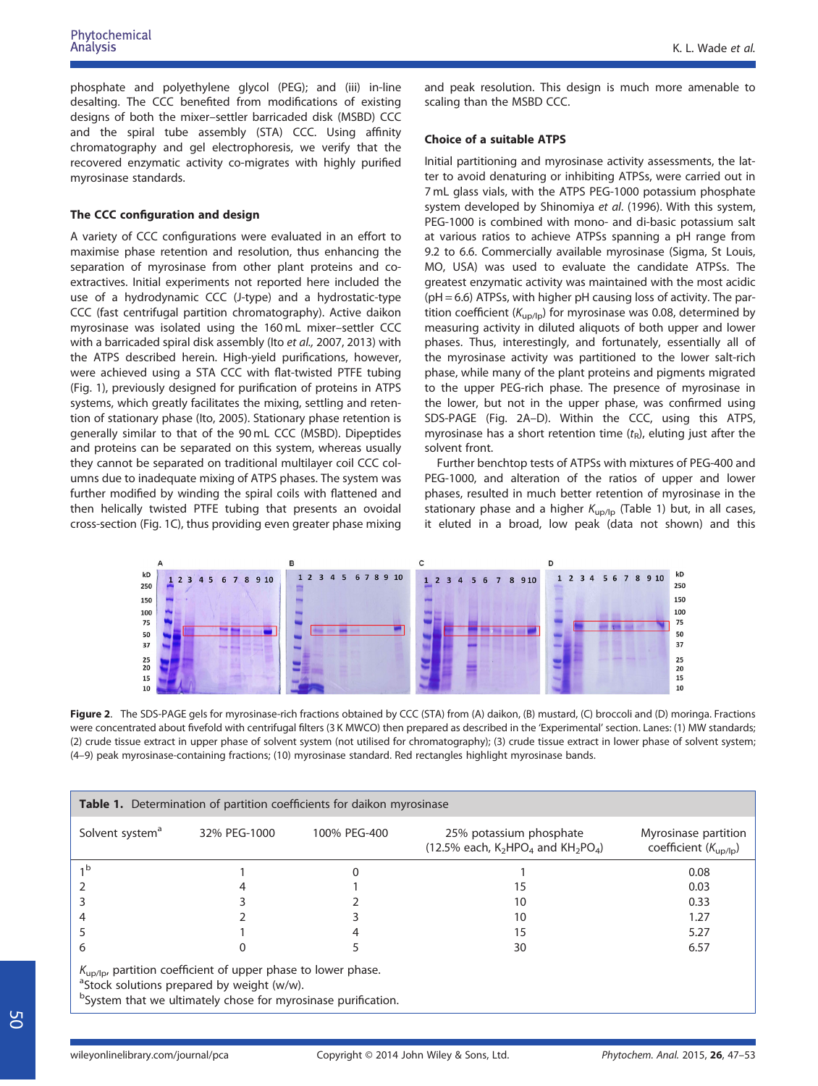phosphate and polyethylene glycol (PEG); and (iii) in-line desalting. The CCC benefited from modifications of existing designs of both the mixer–settler barricaded disk (MSBD) CCC and the spiral tube assembly (STA) CCC. Using affinity chromatography and gel electrophoresis, we verify that the recovered enzymatic activity co-migrates with highly purified myrosinase standards.

#### The CCC configuration and design

A variety of CCC configurations were evaluated in an effort to maximise phase retention and resolution, thus enhancing the separation of myrosinase from other plant proteins and coextractives. Initial experiments not reported here included the use of a hydrodynamic CCC (J-type) and a hydrostatic-type CCC (fast centrifugal partition chromatography). Active daikon myrosinase was isolated using the 160 mL mixer–settler CCC with a barricaded spiral disk assembly (Ito et al., 2007, 2013) with the ATPS described herein. High-yield purifications, however, were achieved using a STA CCC with flat-twisted PTFE tubing (Fig. 1), previously designed for purification of proteins in ATPS systems, which greatly facilitates the mixing, settling and retention of stationary phase (Ito, 2005). Stationary phase retention is generally similar to that of the 90 mL CCC (MSBD). Dipeptides and proteins can be separated on this system, whereas usually they cannot be separated on traditional multilayer coil CCC columns due to inadequate mixing of ATPS phases. The system was further modified by winding the spiral coils with flattened and then helically twisted PTFE tubing that presents an ovoidal cross-section (Fig. 1C), thus providing even greater phase mixing

and peak resolution. This design is much more amenable to scaling than the MSBD CCC.

#### Choice of a suitable ATPS

Initial partitioning and myrosinase activity assessments, the latter to avoid denaturing or inhibiting ATPSs, were carried out in 7 mL glass vials, with the ATPS PEG-1000 potassium phosphate system developed by Shinomiya et al. (1996). With this system, PEG-1000 is combined with mono- and di-basic potassium salt at various ratios to achieve ATPSs spanning a pH range from 9.2 to 6.6. Commercially available myrosinase (Sigma, St Louis, MO, USA) was used to evaluate the candidate ATPSs. The greatest enzymatic activity was maintained with the most acidic (pH = 6.6) ATPSs, with higher pH causing loss of activity. The partition coefficient ( $K_{\text{uo/lp}}$ ) for myrosinase was 0.08, determined by measuring activity in diluted aliquots of both upper and lower phases. Thus, interestingly, and fortunately, essentially all of the myrosinase activity was partitioned to the lower salt-rich phase, while many of the plant proteins and pigments migrated to the upper PEG-rich phase. The presence of myrosinase in the lower, but not in the upper phase, was confirmed using SDS-PAGE (Fig. 2A–D). Within the CCC, using this ATPS, myrosinase has a short retention time  $(t_R)$ , eluting just after the solvent front.

Further benchtop tests of ATPSs with mixtures of PEG-400 and PEG-1000, and alteration of the ratios of upper and lower phases, resulted in much better retention of myrosinase in the stationary phase and a higher  $K_{\text{up/lp}}$  (Table 1) but, in all cases, it eluted in a broad, low peak (data not shown) and this



Figure 2. The SDS-PAGE gels for myrosinase-rich fractions obtained by CCC (STA) from (A) daikon, (B) mustard, (C) broccoli and (D) moringa. Fractions were concentrated about fivefold with centrifugal filters (3 K MWCO) then prepared as described in the 'Experimental' section. Lanes: (1) MW standards; (2) crude tissue extract in upper phase of solvent system (not utilised for chromatography); (3) crude tissue extract in lower phase of solvent system; (4–9) peak myrosinase-containing fractions; (10) myrosinase standard. Red rectangles highlight myrosinase bands.

| <b>Table 1.</b> Determination of partition coefficients for daikon myrosinase |                                                                                                                                                                                                      |              |                                                                     |                                                          |  |  |  |
|-------------------------------------------------------------------------------|------------------------------------------------------------------------------------------------------------------------------------------------------------------------------------------------------|--------------|---------------------------------------------------------------------|----------------------------------------------------------|--|--|--|
| Solvent system <sup>a</sup>                                                   | 32% PEG-1000                                                                                                                                                                                         | 100% PEG-400 | 25% potassium phosphate<br>(12.5% each, $K_2HPO_4$ and $KH_2PO_4$ ) | Myrosinase partition<br>coefficient $(K_{\text{up/lp}})$ |  |  |  |
| 1 <sub>b</sub>                                                                |                                                                                                                                                                                                      |              |                                                                     | 0.08                                                     |  |  |  |
|                                                                               |                                                                                                                                                                                                      |              | 15                                                                  | 0.03                                                     |  |  |  |
|                                                                               |                                                                                                                                                                                                      |              | 10                                                                  | 0.33                                                     |  |  |  |
|                                                                               |                                                                                                                                                                                                      |              | 10                                                                  | 1.27                                                     |  |  |  |
|                                                                               |                                                                                                                                                                                                      |              | 15                                                                  | 5.27                                                     |  |  |  |
| 6                                                                             |                                                                                                                                                                                                      |              | 30                                                                  | 6.57                                                     |  |  |  |
|                                                                               | $K_{\text{up/lp}}$ , partition coefficient of upper phase to lower phase.<br><sup>a</sup> Stock solutions prepared by weight (w/w).<br>bSystem that we ultimately chose for myrosinase purification. |              |                                                                     |                                                          |  |  |  |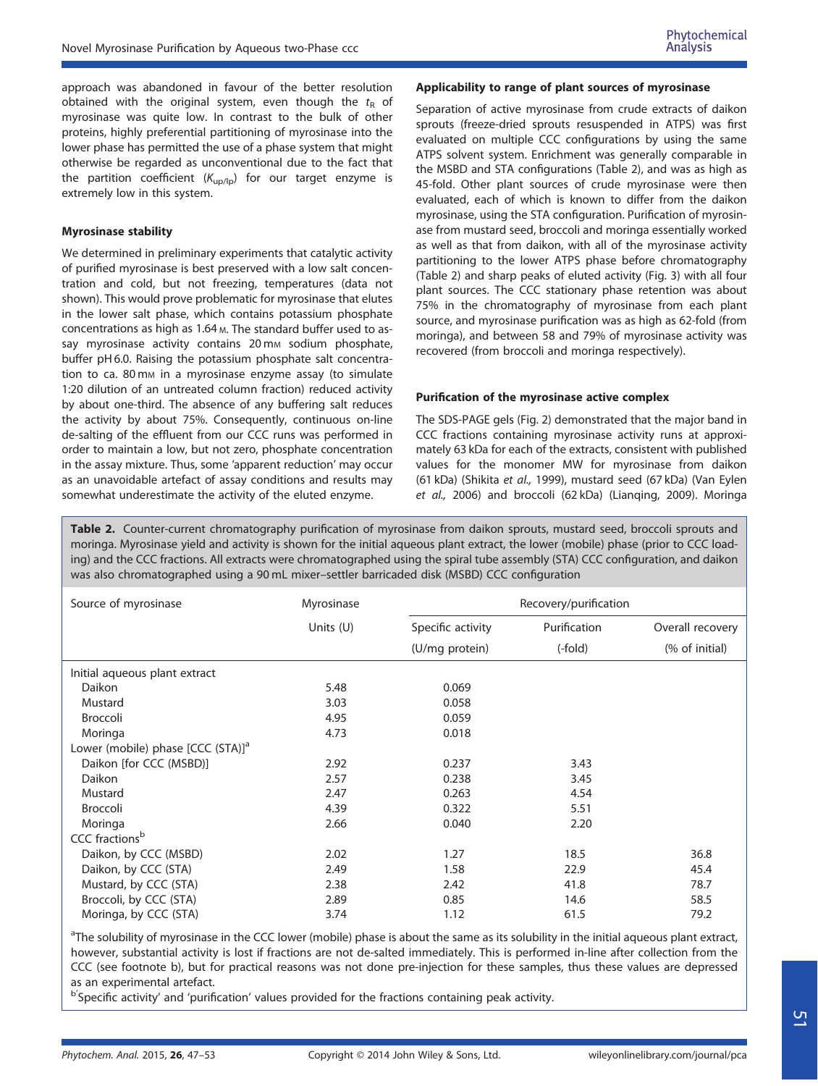approach was abandoned in favour of the better resolution obtained with the original system, even though the  $t<sub>R</sub>$  of myrosinase was quite low. In contrast to the bulk of other proteins, highly preferential partitioning of myrosinase into the lower phase has permitted the use of a phase system that might otherwise be regarded as unconventional due to the fact that the partition coefficient  $(K_{\text{up/lp}})$  for our target enzyme is extremely low in this system.

#### Myrosinase stability

We determined in preliminary experiments that catalytic activity of purified myrosinase is best preserved with a low salt concentration and cold, but not freezing, temperatures (data not shown). This would prove problematic for myrosinase that elutes in the lower salt phase, which contains potassium phosphate concentrations as high as 1.64 M. The standard buffer used to assay myrosinase activity contains 20mm sodium phosphate, buffer pH 6.0. Raising the potassium phosphate salt concentration to ca. 80 mm in a myrosinase enzyme assay (to simulate 1:20 dilution of an untreated column fraction) reduced activity by about one-third. The absence of any buffering salt reduces the activity by about 75%. Consequently, continuous on-line de-salting of the effluent from our CCC runs was performed in order to maintain a low, but not zero, phosphate concentration in the assay mixture. Thus, some 'apparent reduction' may occur as an unavoidable artefact of assay conditions and results may somewhat underestimate the activity of the eluted enzyme.

#### Applicability to range of plant sources of myrosinase

Separation of active myrosinase from crude extracts of daikon sprouts (freeze-dried sprouts resuspended in ATPS) was first evaluated on multiple CCC configurations by using the same ATPS solvent system. Enrichment was generally comparable in the MSBD and STA configurations (Table 2), and was as high as 45-fold. Other plant sources of crude myrosinase were then evaluated, each of which is known to differ from the daikon myrosinase, using the STA configuration. Purification of myrosinase from mustard seed, broccoli and moringa essentially worked as well as that from daikon, with all of the myrosinase activity partitioning to the lower ATPS phase before chromatography (Table 2) and sharp peaks of eluted activity (Fig. 3) with all four plant sources. The CCC stationary phase retention was about 75% in the chromatography of myrosinase from each plant source, and myrosinase purification was as high as 62-fold (from moringa), and between 58 and 79% of myrosinase activity was recovered (from broccoli and moringa respectively).

#### Purification of the myrosinase active complex

The SDS-PAGE gels (Fig. 2) demonstrated that the major band in CCC fractions containing myrosinase activity runs at approximately 63 kDa for each of the extracts, consistent with published values for the monomer MW for myrosinase from daikon (61 kDa) (Shikita et al., 1999), mustard seed (67 kDa) (Van Eylen et al., 2006) and broccoli (62 kDa) (Lianqing, 2009). Moringa

Table 2. Counter-current chromatography purification of myrosinase from daikon sprouts, mustard seed, broccoli sprouts and moringa. Myrosinase yield and activity is shown for the initial aqueous plant extract, the lower (mobile) phase (prior to CCC loading) and the CCC fractions. All extracts were chromatographed using the spiral tube assembly (STA) CCC configuration, and daikon was also chromatographed using a 90 mL mixer–settler barricaded disk (MSBD) CCC configuration

| Source of myrosinase                          | Myrosinase  | Recovery/purification |              |                  |
|-----------------------------------------------|-------------|-----------------------|--------------|------------------|
|                                               | Units $(U)$ | Specific activity     | Purification | Overall recovery |
|                                               |             | (U/mg protein)        | (-fold)      | (% of initial)   |
| Initial aqueous plant extract                 |             |                       |              |                  |
| Daikon                                        | 5.48        | 0.069                 |              |                  |
| Mustard                                       | 3.03        | 0.058                 |              |                  |
| <b>Broccoli</b>                               | 4.95        | 0.059                 |              |                  |
| Moringa                                       | 4.73        | 0.018                 |              |                  |
| Lower (mobile) phase [CCC (STA)] <sup>a</sup> |             |                       |              |                  |
| Daikon [for CCC (MSBD)]                       | 2.92        | 0.237                 | 3.43         |                  |
| Daikon                                        | 2.57        | 0.238                 | 3.45         |                  |
| Mustard                                       | 2.47        | 0.263                 | 4.54         |                  |
| <b>Broccoli</b>                               | 4.39        | 0.322                 | 5.51         |                  |
| Moringa                                       | 2.66        | 0.040                 | 2.20         |                  |
| CCC fractions <sup>b</sup>                    |             |                       |              |                  |
| Daikon, by CCC (MSBD)                         | 2.02        | 1.27                  | 18.5         | 36.8             |
| Daikon, by CCC (STA)                          | 2.49        | 1.58                  | 22.9         | 45.4             |
| Mustard, by CCC (STA)                         | 2.38        | 2.42                  | 41.8         | 78.7             |
| Broccoli, by CCC (STA)                        | 2.89        | 0.85                  | 14.6         | 58.5             |
| Moringa, by CCC (STA)                         | 3.74        | 1.12                  | 61.5         | 79.2             |

<sup>a</sup>The solubility of myrosinase in the CCC lower (mobile) phase is about the same as its solubility in the initial aqueous plant extract, however, substantial activity is lost if fractions are not de-salted immediately. This is performed in-line after collection from the CCC (see footnote b), but for practical reasons was not done pre-injection for these samples, thus these values are depressed as an experimental artefact.

<sup>b'</sup>Specific activity' and 'purification' values provided for the fractions containing peak activity.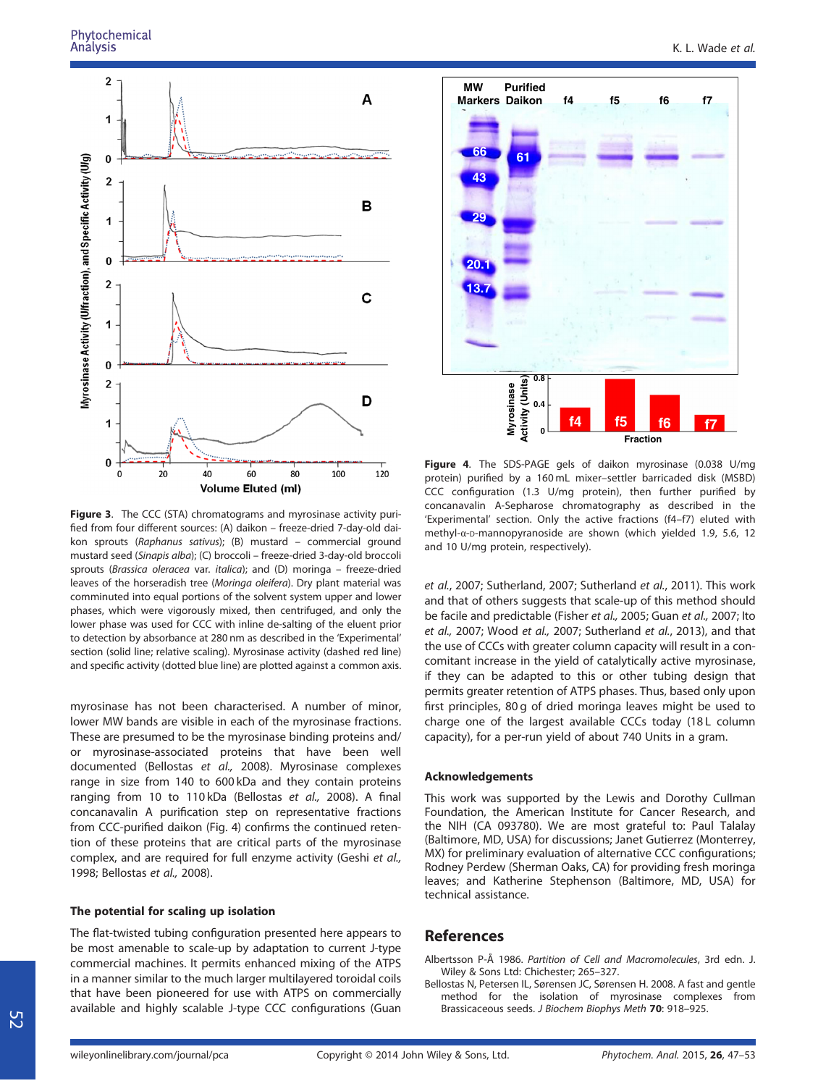#### Phytochemical Analysis



Figure 3. The CCC (STA) chromatograms and myrosinase activity purified from four different sources: (A) daikon – freeze-dried 7-day-old daikon sprouts (Raphanus sativus); (B) mustard – commercial ground mustard seed (Sinapis alba); (C) broccoli – freeze-dried 3-day-old broccoli sprouts (Brassica oleracea var. italica); and (D) moringa – freeze-dried leaves of the horseradish tree (Moringa oleifera). Dry plant material was comminuted into equal portions of the solvent system upper and lower phases, which were vigorously mixed, then centrifuged, and only the lower phase was used for CCC with inline de-salting of the eluent prior to detection by absorbance at 280 nm as described in the 'Experimental' section (solid line; relative scaling). Myrosinase activity (dashed red line) and specific activity (dotted blue line) are plotted against a common axis.

myrosinase has not been characterised. A number of minor, lower MW bands are visible in each of the myrosinase fractions. These are presumed to be the myrosinase binding proteins and/ or myrosinase-associated proteins that have been well documented (Bellostas et al., 2008). Myrosinase complexes range in size from 140 to 600 kDa and they contain proteins ranging from 10 to 110 kDa (Bellostas et al., 2008). A final concanavalin A purification step on representative fractions from CCC-purified daikon (Fig. 4) confirms the continued retention of these proteins that are critical parts of the myrosinase complex, and are required for full enzyme activity (Geshi et al., 1998; Bellostas et al., 2008).

#### The potential for scaling up isolation

The flat-twisted tubing configuration presented here appears to be most amenable to scale-up by adaptation to current J-type commercial machines. It permits enhanced mixing of the ATPS in a manner similar to the much larger multilayered toroidal coils that have been pioneered for use with ATPS on commercially available and highly scalable J-type CCC configurations (Guan



Figure 4. The SDS-PAGE gels of daikon myrosinase (0.038 U/mg protein) purified by a 160 mL mixer–settler barricaded disk (MSBD) CCC configuration (1.3 U/mg protein), then further purified by concanavalin A-Sepharose chromatography as described in the 'Experimental' section. Only the active fractions (f4–f7) eluted with methyl-α-D-mannopyranoside are shown (which yielded 1.9, 5.6, 12 and 10 U/mg protein, respectively).

et al., 2007; Sutherland, 2007; Sutherland et al., 2011). This work and that of others suggests that scale-up of this method should be facile and predictable (Fisher et al., 2005; Guan et al., 2007; Ito et al., 2007; Wood et al., 2007; Sutherland et al., 2013), and that the use of CCCs with greater column capacity will result in a concomitant increase in the yield of catalytically active myrosinase, if they can be adapted to this or other tubing design that permits greater retention of ATPS phases. Thus, based only upon first principles, 80 g of dried moringa leaves might be used to charge one of the largest available CCCs today (18 L column capacity), for a per-run yield of about 740 Units in a gram.

#### Acknowledgements

This work was supported by the Lewis and Dorothy Cullman Foundation, the American Institute for Cancer Research, and the NIH (CA 093780). We are most grateful to: Paul Talalay (Baltimore, MD, USA) for discussions; Janet Gutierrez (Monterrey, MX) for preliminary evaluation of alternative CCC configurations; Rodney Perdew (Sherman Oaks, CA) for providing fresh moringa leaves; and Katherine Stephenson (Baltimore, MD, USA) for technical assistance.

## **References**

Albertsson P-Å 1986. Partition of Cell and Macromolecules, 3rd edn. J. Wiley & Sons Ltd: Chichester; 265–327.

Bellostas N, Petersen IL, Sørensen JC, Sørensen H. 2008. A fast and gentle method for the isolation of myrosinase complexes from Brassicaceous seeds. J Biochem Biophys Meth 70: 918-925.